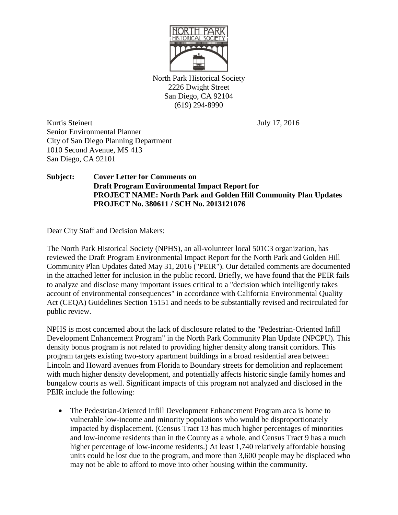

North Park Historical Society 2226 Dwight Street San Diego, CA 92104 (619) 294-8990

Kurtis Steinert July 17, 2016 Senior Environmental Planner City of San Diego Planning Department 1010 Second Avenue, MS 413 San Diego, CA 92101

## **Subject: Cover Letter for Comments on Draft Program Environmental Impact Report for PROJECT NAME: North Park and Golden Hill Community Plan Updates PROJECT No. 380611 / SCH No. 2013121076**

Dear City Staff and Decision Makers:

The North Park Historical Society (NPHS), an all-volunteer local 501C3 organization, has reviewed the Draft Program Environmental Impact Report for the North Park and Golden Hill Community Plan Updates dated May 31, 2016 ("PEIR"). Our detailed comments are documented in the attached letter for inclusion in the public record. Briefly, we have found that the PEIR fails to analyze and disclose many important issues critical to a "decision which intelligently takes account of environmental consequences" in accordance with California Environmental Quality Act (CEQA) Guidelines Section 15151 and needs to be substantially revised and recirculated for public review.

NPHS is most concerned about the lack of disclosure related to the "Pedestrian-Oriented Infill Development Enhancement Program" in the North Park Community Plan Update (NPCPU). This density bonus program is not related to providing higher density along transit corridors. This program targets existing two-story apartment buildings in a broad residential area between Lincoln and Howard avenues from Florida to Boundary streets for demolition and replacement with much higher density development, and potentially affects historic single family homes and bungalow courts as well. Significant impacts of this program not analyzed and disclosed in the PEIR include the following:

• The Pedestrian-Oriented Infill Development Enhancement Program area is home to vulnerable low-income and minority populations who would be disproportionately impacted by displacement. (Census Tract 13 has much higher percentages of minorities and low-income residents than in the County as a whole, and Census Tract 9 has a much higher percentage of low-income residents.) At least 1,740 relatively affordable housing units could be lost due to the program, and more than 3,600 people may be displaced who may not be able to afford to move into other housing within the community.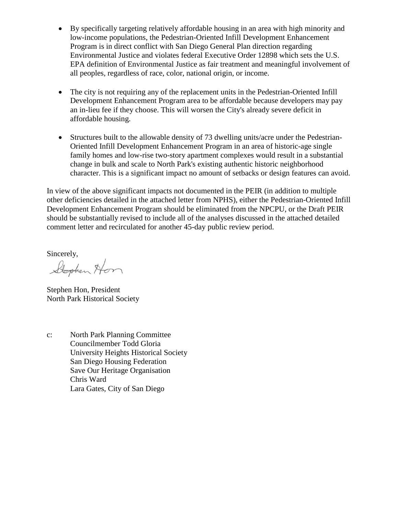- By specifically targeting relatively affordable housing in an area with high minority and low-income populations, the Pedestrian-Oriented Infill Development Enhancement Program is in direct conflict with San Diego General Plan direction regarding Environmental Justice and violates federal Executive Order 12898 which sets the U.S. EPA definition of Environmental Justice as fair treatment and meaningful involvement of all peoples, regardless of race, color, national origin, or income.
- The city is not requiring any of the replacement units in the Pedestrian-Oriented Infill Development Enhancement Program area to be affordable because developers may pay an in-lieu fee if they choose. This will worsen the City's already severe deficit in affordable housing.
- Structures built to the allowable density of 73 dwelling units/acre under the Pedestrian-Oriented Infill Development Enhancement Program in an area of historic-age single family homes and low-rise two-story apartment complexes would result in a substantial change in bulk and scale to North Park's existing authentic historic neighborhood character. This is a significant impact no amount of setbacks or design features can avoid.

In view of the above significant impacts not documented in the PEIR (in addition to multiple other deficiencies detailed in the attached letter from NPHS), either the Pedestrian-Oriented Infill Development Enhancement Program should be eliminated from the NPCPU, or the Draft PEIR should be substantially revised to include all of the analyses discussed in the attached detailed comment letter and recirculated for another 45-day public review period.

Sincerely,<br>Stephen Hom

Stephen Hon, President North Park Historical Society

c: North Park Planning Committee Councilmember Todd Gloria University Heights Historical Society San Diego Housing Federation Save Our Heritage Organisation Chris Ward Lara Gates, City of San Diego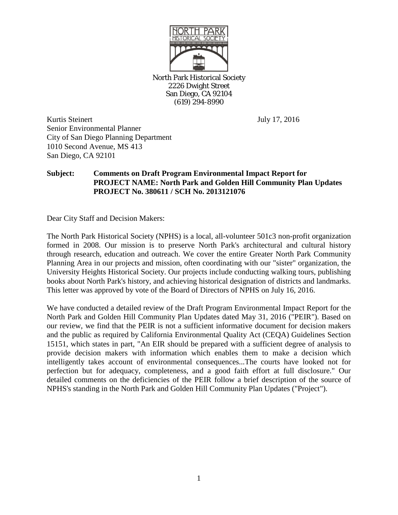

North Park Historical Society 2226 Dwight Street San Diego, CA 92104 (619) 294-8990

Kurtis Steinert July 17, 2016 Senior Environmental Planner City of San Diego Planning Department 1010 Second Avenue, MS 413 San Diego, CA 92101

# **Subject: Comments on Draft Program Environmental Impact Report for PROJECT NAME: North Park and Golden Hill Community Plan Updates PROJECT No. 380611 / SCH No. 2013121076**

Dear City Staff and Decision Makers:

The North Park Historical Society (NPHS) is a local, all-volunteer 501c3 non-profit organization formed in 2008. Our mission is to preserve North Park's architectural and cultural history through research, education and outreach. We cover the entire Greater North Park Community Planning Area in our projects and mission, often coordinating with our "sister" organization, the University Heights Historical Society. Our projects include conducting walking tours, publishing books about North Park's history, and achieving historical designation of districts and landmarks. This letter was approved by vote of the Board of Directors of NPHS on July 16, 2016.

We have conducted a detailed review of the Draft Program Environmental Impact Report for the North Park and Golden Hill Community Plan Updates dated May 31, 2016 ("PEIR"). Based on our review, we find that the PEIR is not a sufficient informative document for decision makers and the public as required by California Environmental Quality Act (CEQA) Guidelines Section 15151, which states in part, "An EIR should be prepared with a sufficient degree of analysis to provide decision makers with information which enables them to make a decision which intelligently takes account of environmental consequences...The courts have looked not for perfection but for adequacy, completeness, and a good faith effort at full disclosure." Our detailed comments on the deficiencies of the PEIR follow a brief description of the source of NPHS's standing in the North Park and Golden Hill Community Plan Updates ("Project").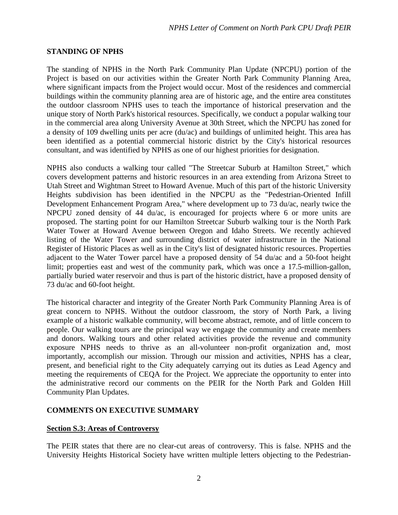## **STANDING OF NPHS**

The standing of NPHS in the North Park Community Plan Update (NPCPU) portion of the Project is based on our activities within the Greater North Park Community Planning Area, where significant impacts from the Project would occur. Most of the residences and commercial buildings within the community planning area are of historic age, and the entire area constitutes the outdoor classroom NPHS uses to teach the importance of historical preservation and the unique story of North Park's historical resources. Specifically, we conduct a popular walking tour in the commercial area along University Avenue at 30th Street, which the NPCPU has zoned for a density of 109 dwelling units per acre (du/ac) and buildings of unlimited height. This area has been identified as a potential commercial historic district by the City's historical resources consultant, and was identified by NPHS as one of our highest priorities for designation.

NPHS also conducts a walking tour called "The Streetcar Suburb at Hamilton Street," which covers development patterns and historic resources in an area extending from Arizona Street to Utah Street and Wightman Street to Howard Avenue. Much of this part of the historic University Heights subdivision has been identified in the NPCPU as the "Pedestrian-Oriented Infill Development Enhancement Program Area," where development up to 73 du/ac, nearly twice the NPCPU zoned density of 44 du/ac, is encouraged for projects where 6 or more units are proposed. The starting point for our Hamilton Streetcar Suburb walking tour is the North Park Water Tower at Howard Avenue between Oregon and Idaho Streets. We recently achieved listing of the Water Tower and surrounding district of water infrastructure in the National Register of Historic Places as well as in the City's list of designated historic resources. Properties adjacent to the Water Tower parcel have a proposed density of 54 du/ac and a 50-foot height limit; properties east and west of the community park, which was once a 17.5-million-gallon, partially buried water reservoir and thus is part of the historic district, have a proposed density of 73 du/ac and 60-foot height.

The historical character and integrity of the Greater North Park Community Planning Area is of great concern to NPHS. Without the outdoor classroom, the story of North Park, a living example of a historic walkable community, will become abstract, remote, and of little concern to people. Our walking tours are the principal way we engage the community and create members and donors. Walking tours and other related activities provide the revenue and community exposure NPHS needs to thrive as an all-volunteer non-profit organization and, most importantly, accomplish our mission. Through our mission and activities, NPHS has a clear, present, and beneficial right to the City adequately carrying out its duties as Lead Agency and meeting the requirements of CEQA for the Project. We appreciate the opportunity to enter into the administrative record our comments on the PEIR for the North Park and Golden Hill Community Plan Updates.

## **COMMENTS ON EXECUTIVE SUMMARY**

## **Section S.3: Areas of Controversy**

The PEIR states that there are no clear-cut areas of controversy. This is false. NPHS and the University Heights Historical Society have written multiple letters objecting to the Pedestrian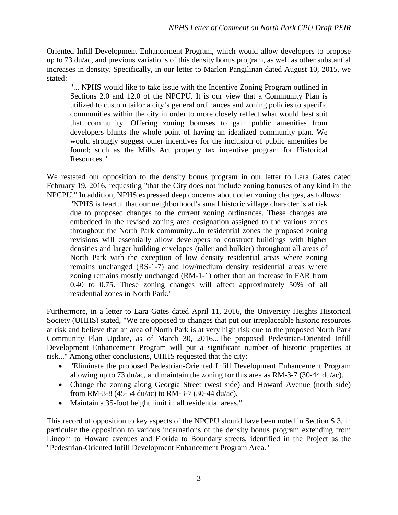Oriented Infill Development Enhancement Program, which would allow developers to propose up to 73 du/ac, and previous variations of this density bonus program, as well as other substantial increases in density. Specifically, in our letter to Marlon Pangilinan dated August 10, 2015, we stated:

"... NPHS would like to take issue with the Incentive Zoning Program outlined in Sections 2.0 and 12.0 of the NPCPU. It is our view that a Community Plan is utilized to custom tailor a city's general ordinances and zoning policies to specific communities within the city in order to more closely reflect what would best suit that community. Offering zoning bonuses to gain public amenities from developers blunts the whole point of having an idealized community plan. We would strongly suggest other incentives for the inclusion of public amenities be found; such as the Mills Act property tax incentive program for Historical Resources."

We restated our opposition to the density bonus program in our letter to Lara Gates dated February 19, 2016, requesting "that the City does not include zoning bonuses of any kind in the NPCPU." In addition, NPHS expressed deep concerns about other zoning changes, as follows:

"NPHS is fearful that our neighborhood's small historic village character is at risk due to proposed changes to the current zoning ordinances. These changes are embedded in the revised zoning area designation assigned to the various zones throughout the North Park community...In residential zones the proposed zoning revisions will essentially allow developers to construct buildings with higher densities and larger building envelopes (taller and bulkier) throughout all areas of North Park with the exception of low density residential areas where zoning remains unchanged (RS-1-7) and low/medium density residential areas where zoning remains mostly unchanged (RM-1-1) other than an increase in FAR from 0.40 to 0.75. These zoning changes will affect approximately 50% of all residential zones in North Park."

Furthermore, in a letter to Lara Gates dated April 11, 2016, the University Heights Historical Society (UHHS) stated, "We are opposed to changes that put our irreplaceable historic resources at risk and believe that an area of North Park is at very high risk due to the proposed North Park Community Plan Update, as of March 30, 2016...The proposed Pedestrian-Oriented Infill Development Enhancement Program will put a significant number of historic properties at risk..." Among other conclusions, UHHS requested that the city:

- "Eliminate the proposed Pedestrian-Oriented Infill Development Enhancement Program allowing up to 73 du/ac, and maintain the zoning for this area as RM-3-7 (30-44 du/ac).
- Change the zoning along Georgia Street (west side) and Howard Avenue (north side) from RM-3-8 (45-54 du/ac) to RM-3-7 (30-44 du/ac).
- Maintain a 35-foot height limit in all residential areas."

This record of opposition to key aspects of the NPCPU should have been noted in Section S.3, in particular the opposition to various incarnations of the density bonus program extending from Lincoln to Howard avenues and Florida to Boundary streets, identified in the Project as the "Pedestrian-Oriented Infill Development Enhancement Program Area."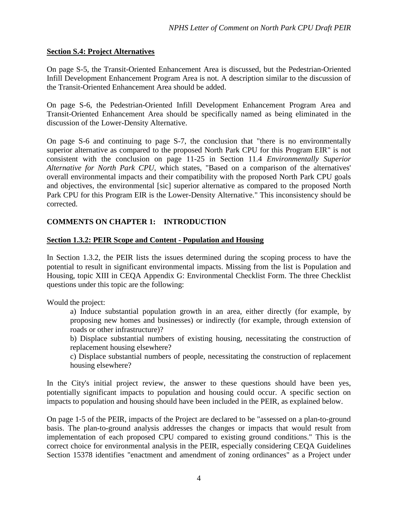### **Section S.4: Project Alternatives**

On page S-5, the Transit-Oriented Enhancement Area is discussed, but the Pedestrian-Oriented Infill Development Enhancement Program Area is not. A description similar to the discussion of the Transit-Oriented Enhancement Area should be added.

On page S-6, the Pedestrian-Oriented Infill Development Enhancement Program Area and Transit-Oriented Enhancement Area should be specifically named as being eliminated in the discussion of the Lower-Density Alternative.

On page S-6 and continuing to page S-7, the conclusion that "there is no environmentally superior alternative as compared to the proposed North Park CPU for this Program EIR" is not consistent with the conclusion on page 11-25 in Section 11.4 *Environmentally Superior Alternative for North Park CPU*, which states, "Based on a comparison of the alternatives' overall environmental impacts and their compatibility with the proposed North Park CPU goals and objectives, the environmental [sic] superior alternative as compared to the proposed North Park CPU for this Program EIR is the Lower-Density Alternative." This inconsistency should be corrected.

## **COMMENTS ON CHAPTER 1: INTRODUCTION**

#### **Section 1.3.2: PEIR Scope and Content - Population and Housing**

In Section 1.3.2, the PEIR lists the issues determined during the scoping process to have the potential to result in significant environmental impacts. Missing from the list is Population and Housing, topic XIII in CEQA Appendix G: Environmental Checklist Form. The three Checklist questions under this topic are the following:

Would the project:

a) Induce substantial population growth in an area, either directly (for example, by proposing new homes and businesses) or indirectly (for example, through extension of roads or other infrastructure)?

b) Displace substantial numbers of existing housing, necessitating the construction of replacement housing elsewhere?

c) Displace substantial numbers of people, necessitating the construction of replacement housing elsewhere?

In the City's initial project review, the answer to these questions should have been yes, potentially significant impacts to population and housing could occur. A specific section on impacts to population and housing should have been included in the PEIR, as explained below.

On page 1-5 of the PEIR, impacts of the Project are declared to be "assessed on a plan-to-ground basis. The plan-to-ground analysis addresses the changes or impacts that would result from implementation of each proposed CPU compared to existing ground conditions." This is the correct choice for environmental analysis in the PEIR, especially considering CEQA Guidelines Section 15378 identifies "enactment and amendment of zoning ordinances" as a Project under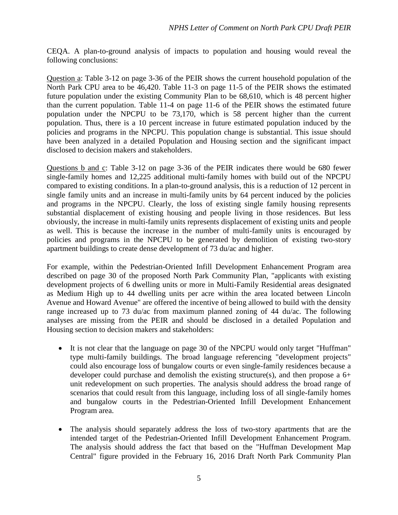CEQA. A plan-to-ground analysis of impacts to population and housing would reveal the following conclusions:

Question a: Table 3-12 on page 3-36 of the PEIR shows the current household population of the North Park CPU area to be 46,420. Table 11-3 on page 11-5 of the PEIR shows the estimated future population under the existing Community Plan to be 68,610, which is 48 percent higher than the current population. Table 11-4 on page 11-6 of the PEIR shows the estimated future population under the NPCPU to be 73,170, which is 58 percent higher than the current population. Thus, there is a 10 percent increase in future estimated population induced by the policies and programs in the NPCPU. This population change is substantial. This issue should have been analyzed in a detailed Population and Housing section and the significant impact disclosed to decision makers and stakeholders.

Questions b and c: Table 3-12 on page 3-36 of the PEIR indicates there would be 680 fewer single-family homes and 12,225 additional multi-family homes with build out of the NPCPU compared to existing conditions. In a plan-to-ground analysis, this is a reduction of 12 percent in single family units and an increase in multi-family units by 64 percent induced by the policies and programs in the NPCPU. Clearly, the loss of existing single family housing represents substantial displacement of existing housing and people living in those residences. But less obviously, the increase in multi-family units represents displacement of existing units and people as well. This is because the increase in the number of multi-family units is encouraged by policies and programs in the NPCPU to be generated by demolition of existing two-story apartment buildings to create dense development of 73 du/ac and higher.

For example, within the Pedestrian-Oriented Infill Development Enhancement Program area described on page 30 of the proposed North Park Community Plan, "applicants with existing development projects of 6 dwelling units or more in Multi-Family Residential areas designated as Medium High up to 44 dwelling units per acre within the area located between Lincoln Avenue and Howard Avenue" are offered the incentive of being allowed to build with the density range increased up to 73 du/ac from maximum planned zoning of 44 du/ac. The following analyses are missing from the PEIR and should be disclosed in a detailed Population and Housing section to decision makers and stakeholders:

- It is not clear that the language on page 30 of the NPCPU would only target "Huffman" type multi-family buildings. The broad language referencing "development projects" could also encourage loss of bungalow courts or even single-family residences because a developer could purchase and demolish the existing structure(s), and then propose a 6+ unit redevelopment on such properties. The analysis should address the broad range of scenarios that could result from this language, including loss of all single-family homes and bungalow courts in the Pedestrian-Oriented Infill Development Enhancement Program area.
- The analysis should separately address the loss of two-story apartments that are the intended target of the Pedestrian-Oriented Infill Development Enhancement Program. The analysis should address the fact that based on the "Huffman Development Map Central" figure provided in the February 16, 2016 Draft North Park Community Plan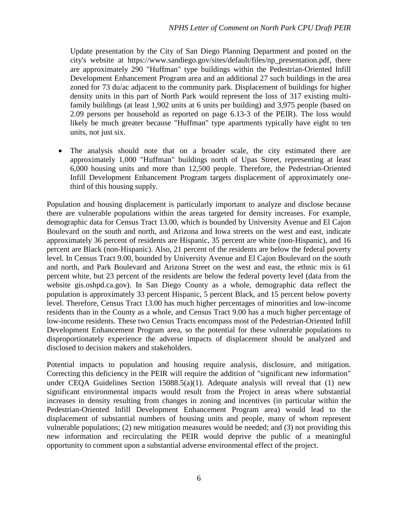Update presentation by the City of San Diego Planning Department and posted on the city's website at https://www.sandiego.gov/sites/default/files/np\_presentation.pdf, there are approximately 290 "Huffman" type buildings within the Pedestrian-Oriented Infill Development Enhancement Program area and an additional 27 such buildings in the area zoned for 73 du/ac adjacent to the community park. Displacement of buildings for higher density units in this part of North Park would represent the loss of 317 existing multifamily buildings (at least 1,902 units at 6 units per building) and 3,975 people (based on 2.09 persons per household as reported on page 6.13-3 of the PEIR). The loss would likely be much greater because "Huffman" type apartments typically have eight to ten units, not just six.

The analysis should note that on a broader scale, the city estimated there are approximately 1,000 "Huffman" buildings north of Upas Street, representing at least 6,000 housing units and more than 12,500 people. Therefore, the Pedestrian-Oriented Infill Development Enhancement Program targets displacement of approximately onethird of this housing supply.

Population and housing displacement is particularly important to analyze and disclose because there are vulnerable populations within the areas targeted for density increases. For example, demographic data for Census Tract 13.00, which is bounded by University Avenue and El Cajon Boulevard on the south and north, and Arizona and Iowa streets on the west and east, indicate approximately 36 percent of residents are Hispanic, 35 percent are white (non-Hispanic), and 16 percent are Black (non-Hispanic). Also, 21 percent of the residents are below the federal poverty level. In Census Tract 9.00, bounded by University Avenue and El Cajon Boulevard on the south and north, and Park Boulevard and Arizona Street on the west and east, the ethnic mix is 61 percent white, but 23 percent of the residents are below the federal poverty level (data from the website gis.oshpd.ca.gov). In San Diego County as a whole, demographic data reflect the population is approximately 33 percent Hispanic, 5 percent Black, and 15 percent below poverty level. Therefore, Census Tract 13.00 has much higher percentages of minorities and low-income residents than in the County as a whole, and Census Tract 9.00 has a much higher percentage of low-income residents. These two Census Tracts encompass most of the Pedestrian-Oriented Infill Development Enhancement Program area, so the potential for these vulnerable populations to disproportionately experience the adverse impacts of displacement should be analyzed and disclosed to decision makers and stakeholders.

Potential impacts to population and housing require analysis, disclosure, and mitigation. Correcting this deficiency in the PEIR will require the addition of "significant new information" under CEQA Guidelines Section 15088.5(a)(1). Adequate analysis will reveal that (1) new significant environmental impacts would result from the Project in areas where substantial increases in density resulting from changes in zoning and incentives (in particular within the Pedestrian-Oriented Infill Development Enhancement Program area) would lead to the displacement of substantial numbers of housing units and people, many of whom represent vulnerable populations; (2) new mitigation measures would be needed; and (3) not providing this new information and recirculating the PEIR would deprive the public of a meaningful opportunity to comment upon a substantial adverse environmental effect of the project.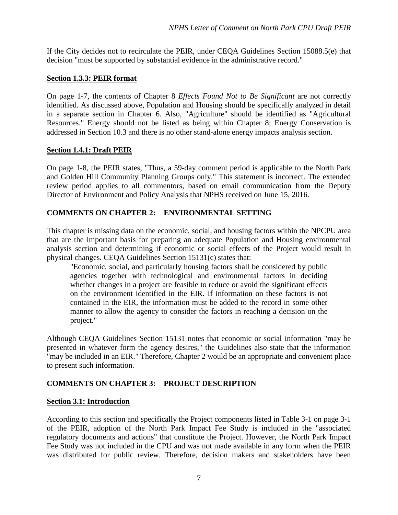If the City decides not to recirculate the PEIR, under CEQA Guidelines Section 15088.5(e) that decision "must be supported by substantial evidence in the administrative record."

### **Section 1.3.3: PEIR format**

On page 1-7, the contents of Chapter 8 *Effects Found Not to Be Significant* are not correctly identified. As discussed above, Population and Housing should be specifically analyzed in detail in a separate section in Chapter 6. Also, "Agriculture" should be identified as "Agricultural Resources." Energy should not be listed as being within Chapter 8; Energy Conservation is addressed in Section 10.3 and there is no other stand-alone energy impacts analysis section.

## **Section 1.4.1: Draft PEIR**

On page 1-8, the PEIR states, "Thus, a 59-day comment period is applicable to the North Park and Golden Hill Community Planning Groups only." This statement is incorrect. The extended review period applies to all commentors, based on email communication from the Deputy Director of Environment and Policy Analysis that NPHS received on June 15, 2016.

## **COMMENTS ON CHAPTER 2: ENVIRONMENTAL SETTING**

This chapter is missing data on the economic, social, and housing factors within the NPCPU area that are the important basis for preparing an adequate Population and Housing environmental analysis section and determining if economic or social effects of the Project would result in physical changes. CEQA Guidelines Section 15131(c) states that:

"Economic, social, and particularly housing factors shall be considered by public agencies together with technological and environmental factors in deciding whether changes in a project are feasible to reduce or avoid the significant effects on the environment identified in the EIR. If information on these factors is not contained in the EIR, the information must be added to the record in some other manner to allow the agency to consider the factors in reaching a decision on the project."

Although CEQA Guidelines Section 15131 notes that economic or social information "may be presented in whatever form the agency desires," the Guidelines also state that the information "may be included in an EIR." Therefore, Chapter 2 would be an appropriate and convenient place to present such information.

## **COMMENTS ON CHAPTER 3: PROJECT DESCRIPTION**

#### **Section 3.1: Introduction**

According to this section and specifically the Project components listed in Table 3-1 on page 3-1 of the PEIR, adoption of the North Park Impact Fee Study is included in the "associated regulatory documents and actions" that constitute the Project. However, the North Park Impact Fee Study was not included in the CPU and was not made available in any form when the PEIR was distributed for public review. Therefore, decision makers and stakeholders have been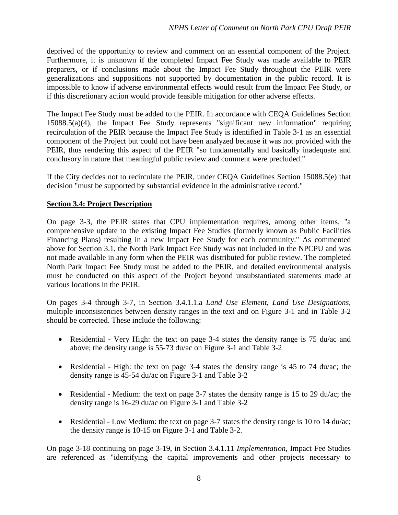deprived of the opportunity to review and comment on an essential component of the Project. Furthermore, it is unknown if the completed Impact Fee Study was made available to PEIR preparers, or if conclusions made about the Impact Fee Study throughout the PEIR were generalizations and suppositions not supported by documentation in the public record. It is impossible to know if adverse environmental effects would result from the Impact Fee Study, or if this discretionary action would provide feasible mitigation for other adverse effects.

The Impact Fee Study must be added to the PEIR. In accordance with CEQA Guidelines Section 15088.5(a)(4), the Impact Fee Study represents "significant new information" requiring recirculation of the PEIR because the Impact Fee Study is identified in Table 3-1 as an essential component of the Project but could not have been analyzed because it was not provided with the PEIR, thus rendering this aspect of the PEIR "so fundamentally and basically inadequate and conclusory in nature that meaningful public review and comment were precluded."

If the City decides not to recirculate the PEIR, under CEQA Guidelines Section 15088.5(e) that decision "must be supported by substantial evidence in the administrative record."

## **Section 3.4: Project Description**

On page 3-3, the PEIR states that CPU implementation requires, among other items, "a comprehensive update to the existing Impact Fee Studies (formerly known as Public Facilities Financing Plans) resulting in a new Impact Fee Study for each community." As commented above for Section 3.1, the North Park Impact Fee Study was not included in the NPCPU and was not made available in any form when the PEIR was distributed for public review. The completed North Park Impact Fee Study must be added to the PEIR, and detailed environmental analysis must be conducted on this aspect of the Project beyond unsubstantiated statements made at various locations in the PEIR.

On pages 3-4 through 3-7, in Section 3.4.1.1.a *Land Use Element, Land Use Designations*, multiple inconsistencies between density ranges in the text and on Figure 3-1 and in Table 3-2 should be corrected. These include the following:

- Residential Very High: the text on page 3-4 states the density range is 75 du/ac and above; the density range is 55-73 du/ac on Figure 3-1 and Table 3-2
- Residential High: the text on page 3-4 states the density range is 45 to 74 du/ac; the density range is 45-54 du/ac on Figure 3-1 and Table 3-2
- Residential Medium: the text on page 3-7 states the density range is 15 to 29 du/ac; the density range is 16-29 du/ac on Figure 3-1 and Table 3-2
- Residential Low Medium: the text on page 3-7 states the density range is 10 to 14 du/ac; the density range is 10-15 on Figure 3-1 and Table 3-2.

On page 3-18 continuing on page 3-19, in Section 3.4.1.11 *Implementation*, Impact Fee Studies are referenced as "identifying the capital improvements and other projects necessary to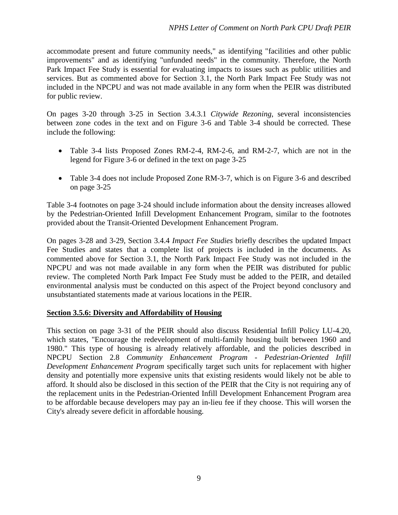accommodate present and future community needs," as identifying "facilities and other public improvements" and as identifying "unfunded needs" in the community. Therefore, the North Park Impact Fee Study is essential for evaluating impacts to issues such as public utilities and services. But as commented above for Section 3.1, the North Park Impact Fee Study was not included in the NPCPU and was not made available in any form when the PEIR was distributed for public review.

On pages 3-20 through 3-25 in Section 3.4.3.1 *Citywide Rezoning*, several inconsistencies between zone codes in the text and on Figure 3-6 and Table 3-4 should be corrected. These include the following:

- Table 3-4 lists Proposed Zones RM-2-4, RM-2-6, and RM-2-7, which are not in the legend for Figure 3-6 or defined in the text on page 3-25
- Table 3-4 does not include Proposed Zone RM-3-7, which is on Figure 3-6 and described on page 3-25

Table 3-4 footnotes on page 3-24 should include information about the density increases allowed by the Pedestrian-Oriented Infill Development Enhancement Program, similar to the footnotes provided about the Transit-Oriented Development Enhancement Program.

On pages 3-28 and 3-29, Section 3.4.4 *Impact Fee Studies* briefly describes the updated Impact Fee Studies and states that a complete list of projects is included in the documents. As commented above for Section 3.1, the North Park Impact Fee Study was not included in the NPCPU and was not made available in any form when the PEIR was distributed for public review. The completed North Park Impact Fee Study must be added to the PEIR, and detailed environmental analysis must be conducted on this aspect of the Project beyond conclusory and unsubstantiated statements made at various locations in the PEIR.

## **Section 3.5.6: Diversity and Affordability of Housing**

This section on page 3-31 of the PEIR should also discuss Residential Infill Policy LU-4.20, which states, "Encourage the redevelopment of multi-family housing built between 1960 and 1980." This type of housing is already relatively affordable, and the policies described in NPCPU Section 2.8 *Community Enhancement Program - Pedestrian-Oriented Infill Development Enhancement Program* specifically target such units for replacement with higher density and potentially more expensive units that existing residents would likely not be able to afford. It should also be disclosed in this section of the PEIR that the City is not requiring any of the replacement units in the Pedestrian-Oriented Infill Development Enhancement Program area to be affordable because developers may pay an in-lieu fee if they choose. This will worsen the City's already severe deficit in affordable housing.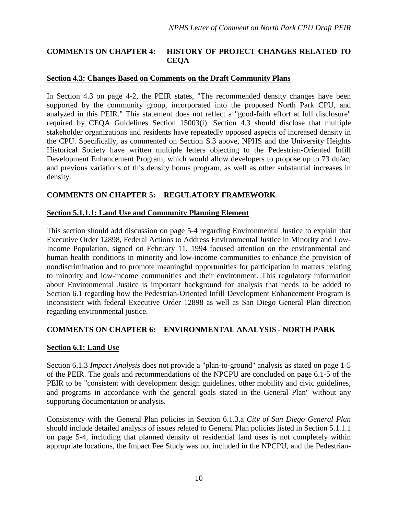## **COMMENTS ON CHAPTER 4: HISTORY OF PROJECT CHANGES RELATED TO CEQA**

#### **Section 4.3: Changes Based on Comments on the Draft Community Plans**

In Section 4.3 on page 4-2, the PEIR states, "The recommended density changes have been supported by the community group, incorporated into the proposed North Park CPU, and analyzed in this PEIR." This statement does not reflect a "good-faith effort at full disclosure" required by CEQA Guidelines Section 15003(i). Section 4.3 should disclose that multiple stakeholder organizations and residents have repeatedly opposed aspects of increased density in the CPU. Specifically, as commented on Section S.3 above, NPHS and the University Heights Historical Society have written multiple letters objecting to the Pedestrian-Oriented Infill Development Enhancement Program, which would allow developers to propose up to 73 du/ac, and previous variations of this density bonus program, as well as other substantial increases in density.

## **COMMENTS ON CHAPTER 5: REGULATORY FRAMEWORK**

#### **Section 5.1.1.1: Land Use and Community Planning Element**

This section should add discussion on page 5-4 regarding Environmental Justice to explain that Executive Order 12898, Federal Actions to Address Environmental Justice in Minority and Low-Income Population, signed on February 11, 1994 focused attention on the environmental and human health conditions in minority and low-income communities to enhance the provision of nondiscrimination and to promote meaningful opportunities for participation in matters relating to minority and low-income communities and their environment. This regulatory information about Environmental Justice is important background for analysis that needs to be added to Section 6.1 regarding how the Pedestrian-Oriented Infill Development Enhancement Program is inconsistent with federal Executive Order 12898 as well as San Diego General Plan direction regarding environmental justice.

## **COMMENTS ON CHAPTER 6: ENVIRONMENTAL ANALYSIS - NORTH PARK**

#### **Section 6.1: Land Use**

Section 6.1.3 *Impact Analysis* does not provide a "plan-to-ground" analysis as stated on page 1-5 of the PEIR. The goals and recommendations of the NPCPU are concluded on page 6.1-5 of the PEIR to be "consistent with development design guidelines, other mobility and civic guidelines, and programs in accordance with the general goals stated in the General Plan" without any supporting documentation or analysis.

Consistency with the General Plan policies in Section 6.1.3.a *City of San Diego General Plan* should include detailed analysis of issues related to General Plan policies listed in Section 5.1.1.1 on page 5-4, including that planned density of residential land uses is not completely within appropriate locations, the Impact Fee Study was not included in the NPCPU, and the Pedestrian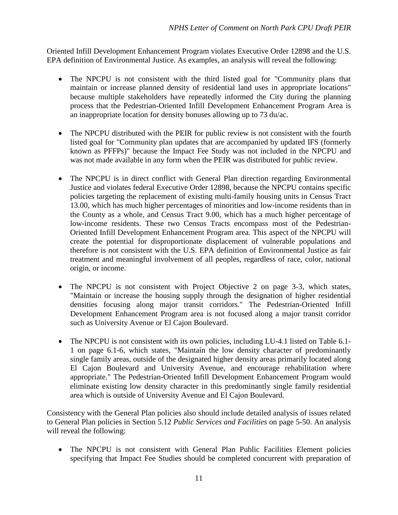Oriented Infill Development Enhancement Program violates Executive Order 12898 and the U.S. EPA definition of Environmental Justice. As examples, an analysis will reveal the following:

- The NPCPU is not consistent with the third listed goal for "Community plans that maintain or increase planned density of residential land uses in appropriate locations" because multiple stakeholders have repeatedly informed the City during the planning process that the Pedestrian-Oriented Infill Development Enhancement Program Area is an inappropriate location for density bonuses allowing up to 73 du/ac.
- The NPCPU distributed with the PEIR for public review is not consistent with the fourth listed goal for "Community plan updates that are accompanied by updated IFS (formerly known as PFFPs)" because the Impact Fee Study was not included in the NPCPU and was not made available in any form when the PEIR was distributed for public review.
- The NPCPU is in direct conflict with General Plan direction regarding Environmental Justice and violates federal Executive Order 12898, because the NPCPU contains specific policies targeting the replacement of existing multi-family housing units in Census Tract 13.00, which has much higher percentages of minorities and low-income residents than in the County as a whole, and Census Tract 9.00, which has a much higher percentage of low-income residents. These two Census Tracts encompass most of the Pedestrian-Oriented Infill Development Enhancement Program area. This aspect of the NPCPU will create the potential for disproportionate displacement of vulnerable populations and therefore is not consistent with the U.S. EPA definition of Environmental Justice as fair treatment and meaningful involvement of all peoples, regardless of race, color, national origin, or income.
- The NPCPU is not consistent with Project Objective 2 on page 3-3, which states, "Maintain or increase the housing supply through the designation of higher residential densities focusing along major transit corridors." The Pedestrian-Oriented Infill Development Enhancement Program area is not focused along a major transit corridor such as University Avenue or El Cajon Boulevard.
- The NPCPU is not consistent with its own policies, including LU-4.1 listed on Table 6.1-1 on page 6.1-6, which states, "Maintain the low density character of predominantly single family areas, outside of the designated higher density areas primarily located along El Cajon Boulevard and University Avenue, and encourage rehabilitation where appropriate." The Pedestrian-Oriented Infill Development Enhancement Program would eliminate existing low density character in this predominantly single family residential area which is outside of University Avenue and El Cajon Boulevard.

Consistency with the General Plan policies also should include detailed analysis of issues related to General Plan policies in Section 5.12 *Public Services and Facilities* on page 5-50. An analysis will reveal the following:

• The NPCPU is not consistent with General Plan Public Facilities Element policies specifying that Impact Fee Studies should be completed concurrent with preparation of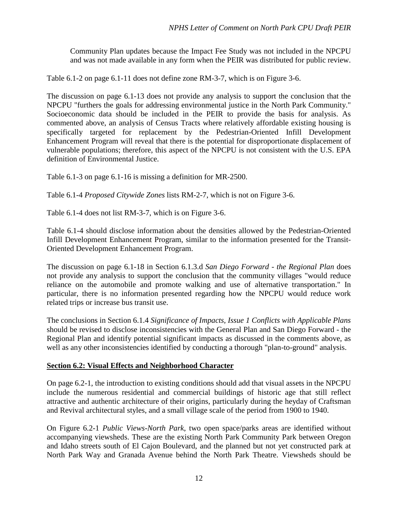Community Plan updates because the Impact Fee Study was not included in the NPCPU and was not made available in any form when the PEIR was distributed for public review.

Table 6.1-2 on page 6.1-11 does not define zone RM-3-7, which is on Figure 3-6.

The discussion on page 6.1-13 does not provide any analysis to support the conclusion that the NPCPU "furthers the goals for addressing environmental justice in the North Park Community." Socioeconomic data should be included in the PEIR to provide the basis for analysis. As commented above, an analysis of Census Tracts where relatively affordable existing housing is specifically targeted for replacement by the Pedestrian-Oriented Infill Development Enhancement Program will reveal that there is the potential for disproportionate displacement of vulnerable populations; therefore, this aspect of the NPCPU is not consistent with the U.S. EPA definition of Environmental Justice.

Table 6.1-3 on page 6.1-16 is missing a definition for MR-2500.

Table 6.1-4 *Proposed Citywide Zones* lists RM-2-7, which is not on Figure 3-6.

Table 6.1-4 does not list RM-3-7, which is on Figure 3-6.

Table 6.1-4 should disclose information about the densities allowed by the Pedestrian-Oriented Infill Development Enhancement Program, similar to the information presented for the Transit-Oriented Development Enhancement Program.

The discussion on page 6.1-18 in Section 6.1.3.d *San Diego Forward - the Regional Plan* does not provide any analysis to support the conclusion that the community villages "would reduce reliance on the automobile and promote walking and use of alternative transportation." In particular, there is no information presented regarding how the NPCPU would reduce work related trips or increase bus transit use.

The conclusions in Section 6.1.4 *Significance of Impacts, Issue 1 Conflicts with Applicable Plans* should be revised to disclose inconsistencies with the General Plan and San Diego Forward - the Regional Plan and identify potential significant impacts as discussed in the comments above, as well as any other inconsistencies identified by conducting a thorough "plan-to-ground" analysis.

#### **Section 6.2: Visual Effects and Neighborhood Character**

On page 6.2-1, the introduction to existing conditions should add that visual assets in the NPCPU include the numerous residential and commercial buildings of historic age that still reflect attractive and authentic architecture of their origins, particularly during the heyday of Craftsman and Revival architectural styles, and a small village scale of the period from 1900 to 1940.

On Figure 6.2-1 *Public Views-North Park*, two open space/parks areas are identified without accompanying viewsheds. These are the existing North Park Community Park between Oregon and Idaho streets south of El Cajon Boulevard, and the planned but not yet constructed park at North Park Way and Granada Avenue behind the North Park Theatre. Viewsheds should be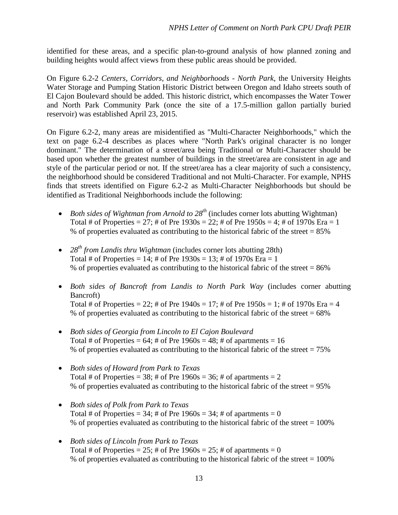identified for these areas, and a specific plan-to-ground analysis of how planned zoning and building heights would affect views from these public areas should be provided.

On Figure 6.2-2 *Centers, Corridors, and Neighborhoods - North Park*, the University Heights Water Storage and Pumping Station Historic District between Oregon and Idaho streets south of El Cajon Boulevard should be added. This historic district, which encompasses the Water Tower and North Park Community Park (once the site of a 17.5-million gallon partially buried reservoir) was established April 23, 2015.

On Figure 6.2-2, many areas are misidentified as "Multi-Character Neighborhoods," which the text on page 6.2-4 describes as places where "North Park's original character is no longer dominant." The determination of a street/area being Traditional or Multi-Character should be based upon whether the greatest number of buildings in the street/area are consistent in age and style of the particular period or not. If the street/area has a clear majority of such a consistency, the neighborhood should be considered Traditional and not Multi-Character. For example, NPHS finds that streets identified on Figure 6.2-2 as Multi-Character Neighborhoods but should be identified as Traditional Neighborhoods include the following:

- *Both sides of Wightman from Arnold to 28th* (includes corner lots abutting Wightman) Total # of Properties =  $27$ ; # of Pre  $1930s = 22$ ; # of Pre  $1950s = 4$ ; # of  $1970s$  Era = 1 % of properties evaluated as contributing to the historical fabric of the street = 85%
- 28<sup>th</sup> from Landis thru Wightman (includes corner lots abutting 28th) Total # of Properties =  $14$ ; # of Pre  $1930s = 13$ ; # of  $1970s$  Era = 1 % of properties evaluated as contributing to the historical fabric of the street = 86%
- *Both sides of Bancroft from Landis to North Park Way* (includes corner abutting Bancroft)

Total # of Properties = 22; # of Pre  $1940s = 17$ ; # of Pre  $1950s = 1$ ; # of  $1970s$  Era = 4 % of properties evaluated as contributing to the historical fabric of the street  $= 68\%$ 

- *Both sides of Georgia from Lincoln to El Cajon Boulevard* Total # of Properties =  $64$ ; # of Pre  $1960s = 48$ ; # of apartments = 16 % of properties evaluated as contributing to the historical fabric of the street  $= 75\%$
- *Both sides of Howard from Park to Texas* Total # of Properties =  $38$ ; # of Pre  $1960s = 36$ ; # of apartments = 2 % of properties evaluated as contributing to the historical fabric of the street = 95%
- *Both sides of Polk from Park to Texas* Total # of Properties = 34; # of Pre  $1960s = 34$ ; # of apartments = 0 % of properties evaluated as contributing to the historical fabric of the street  $= 100\%$
- *Both sides of Lincoln from Park to Texas* Total # of Properties =  $25$ ; # of Pre 1960s =  $25$ ; # of apartments = 0 % of properties evaluated as contributing to the historical fabric of the street  $= 100\%$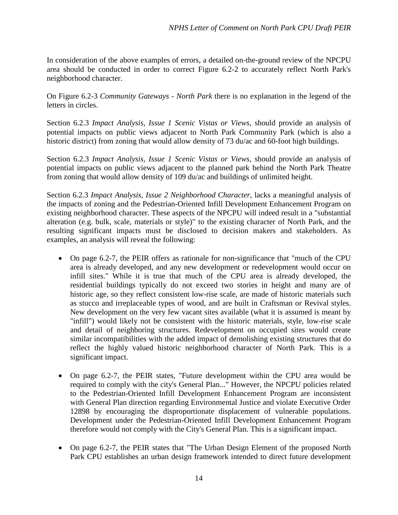In consideration of the above examples of errors, a detailed on-the-ground review of the NPCPU area should be conducted in order to correct Figure 6.2-2 to accurately reflect North Park's neighborhood character.

On Figure 6.2-3 *Community Gateways - North Park* there is no explanation in the legend of the letters in circles.

Section 6.2.3 *Impact Analysis, Issue 1 Scenic Vistas or Views*, should provide an analysis of potential impacts on public views adjacent to North Park Community Park (which is also a historic district) from zoning that would allow density of 73 du/ac and 60-foot high buildings.

Section 6.2.3 *Impact Analysis, Issue 1 Scenic Vistas or Views*, should provide an analysis of potential impacts on public views adjacent to the planned park behind the North Park Theatre from zoning that would allow density of 109 du/ac and buildings of unlimited height.

Section 6.2.3 *Impact Analysis, Issue 2 Neighborhood Character*, lacks a meaningful analysis of the impacts of zoning and the Pedestrian-Oriented Infill Development Enhancement Program on existing neighborhood character. These aspects of the NPCPU will indeed result in a "substantial alteration (e.g. bulk, scale, materials or style)" to the existing character of North Park, and the resulting significant impacts must be disclosed to decision makers and stakeholders. As examples, an analysis will reveal the following:

- On page 6.2-7, the PEIR offers as rationale for non-significance that "much of the CPU area is already developed, and any new development or redevelopment would occur on infill sites." While it is true that much of the CPU area is already developed, the residential buildings typically do not exceed two stories in height and many are of historic age, so they reflect consistent low-rise scale, are made of historic materials such as stucco and irreplaceable types of wood, and are built in Craftsman or Revival styles. New development on the very few vacant sites available (what it is assumed is meant by "infill") would likely not be consistent with the historic materials, style, low-rise scale and detail of neighboring structures. Redevelopment on occupied sites would create similar incompatibilities with the added impact of demolishing existing structures that do reflect the highly valued historic neighborhood character of North Park. This is a significant impact.
- On page 6.2-7, the PEIR states, "Future development within the CPU area would be required to comply with the city's General Plan..." However, the NPCPU policies related to the Pedestrian-Oriented Infill Development Enhancement Program are inconsistent with General Plan direction regarding Environmental Justice and violate Executive Order 12898 by encouraging the disproportionate displacement of vulnerable populations. Development under the Pedestrian-Oriented Infill Development Enhancement Program therefore would not comply with the City's General Plan. This is a significant impact.
- On page 6.2-7, the PEIR states that "The Urban Design Element of the proposed North Park CPU establishes an urban design framework intended to direct future development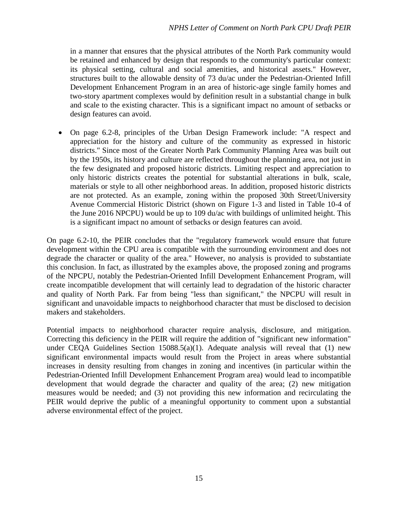in a manner that ensures that the physical attributes of the North Park community would be retained and enhanced by design that responds to the community's particular context: its physical setting, cultural and social amenities, and historical assets." However, structures built to the allowable density of 73 du/ac under the Pedestrian-Oriented Infill Development Enhancement Program in an area of historic-age single family homes and two-story apartment complexes would by definition result in a substantial change in bulk and scale to the existing character. This is a significant impact no amount of setbacks or design features can avoid.

• On page 6.2-8, principles of the Urban Design Framework include: "A respect and appreciation for the history and culture of the community as expressed in historic districts." Since most of the Greater North Park Community Planning Area was built out by the 1950s, its history and culture are reflected throughout the planning area, not just in the few designated and proposed historic districts. Limiting respect and appreciation to only historic districts creates the potential for substantial alterations in bulk, scale, materials or style to all other neighborhood areas. In addition, proposed historic districts are not protected. As an example, zoning within the proposed 30th Street/University Avenue Commercial Historic District (shown on Figure 1-3 and listed in Table 10-4 of the June 2016 NPCPU) would be up to 109 du/ac with buildings of unlimited height. This is a significant impact no amount of setbacks or design features can avoid.

On page 6.2-10, the PEIR concludes that the "regulatory framework would ensure that future development within the CPU area is compatible with the surrounding environment and does not degrade the character or quality of the area." However, no analysis is provided to substantiate this conclusion. In fact, as illustrated by the examples above, the proposed zoning and programs of the NPCPU, notably the Pedestrian-Oriented Infill Development Enhancement Program, will create incompatible development that will certainly lead to degradation of the historic character and quality of North Park. Far from being "less than significant," the NPCPU will result in significant and unavoidable impacts to neighborhood character that must be disclosed to decision makers and stakeholders.

Potential impacts to neighborhood character require analysis, disclosure, and mitigation. Correcting this deficiency in the PEIR will require the addition of "significant new information" under CEQA Guidelines Section  $15088.5(a)(1)$ . Adequate analysis will reveal that (1) new significant environmental impacts would result from the Project in areas where substantial increases in density resulting from changes in zoning and incentives (in particular within the Pedestrian-Oriented Infill Development Enhancement Program area) would lead to incompatible development that would degrade the character and quality of the area; (2) new mitigation measures would be needed; and (3) not providing this new information and recirculating the PEIR would deprive the public of a meaningful opportunity to comment upon a substantial adverse environmental effect of the project.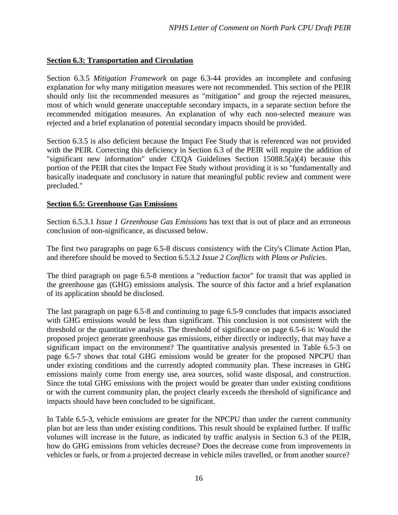## **Section 6.3: Transportation and Circulation**

Section 6.3.5 *Mitigation Framework* on page 6.3-44 provides an incomplete and confusing explanation for why many mitigation measures were not recommended. This section of the PEIR should only list the recommended measures as "mitigation" and group the rejected measures, most of which would generate unacceptable secondary impacts, in a separate section before the recommended mitigation measures. An explanation of why each non-selected measure was rejected and a brief explanation of potential secondary impacts should be provided.

Section 6.3.5 is also deficient because the Impact Fee Study that is referenced was not provided with the PEIR. Correcting this deficiency in Section 6.3 of the PEIR will require the addition of "significant new information" under CEQA Guidelines Section 15088.5(a)(4) because this portion of the PEIR that cites the Impact Fee Study without providing it is so "fundamentally and basically inadequate and conclusory in nature that meaningful public review and comment were precluded."

## **Section 6.5: Greenhouse Gas Emissions**

Section 6.5.3.1 *Issue 1 Greenhouse Gas Emissions* has text that is out of place and an erroneous conclusion of non-significance, as discussed below.

The first two paragraphs on page 6.5-8 discuss consistency with the City's Climate Action Plan, and therefore should be moved to Section 6.5.3.2 *Issue 2 Conflicts with Plans or Policies*.

The third paragraph on page 6.5-8 mentions a "reduction factor" for transit that was applied in the greenhouse gas (GHG) emissions analysis. The source of this factor and a brief explanation of its application should be disclosed.

The last paragraph on page 6.5-8 and continuing to page 6.5-9 concludes that impacts associated with GHG emissions would be less than significant. This conclusion is not consistent with the threshold or the quantitative analysis. The threshold of significance on page 6.5-6 is: Would the proposed project generate greenhouse gas emissions, either directly or indirectly, that may have a significant impact on the environment? The quantitative analysis presented in Table 6.5-3 on page 6.5-7 shows that total GHG emissions would be greater for the proposed NPCPU than under existing conditions and the currently adopted community plan. These increases in GHG emissions mainly come from energy use, area sources, solid waste disposal, and construction. Since the total GHG emissions with the project would be greater than under existing conditions or with the current community plan, the project clearly exceeds the threshold of significance and impacts should have been concluded to be significant.

In Table 6.5-3, vehicle emissions are greater for the NPCPU than under the current community plan but are less than under existing conditions. This result should be explained further. If traffic volumes will increase in the future, as indicated by traffic analysis in Section 6.3 of the PEIR, how do GHG emissions from vehicles decrease? Does the decrease come from improvements in vehicles or fuels, or from a projected decrease in vehicle miles travelled, or from another source?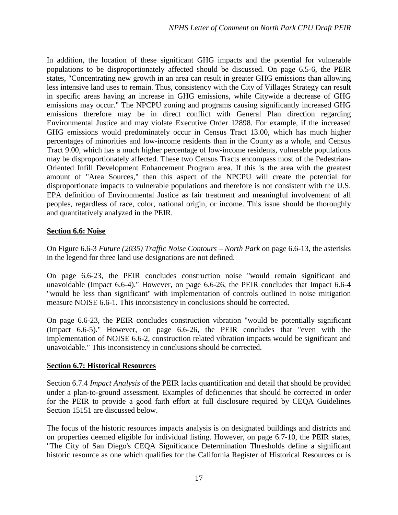In addition, the location of these significant GHG impacts and the potential for vulnerable populations to be disproportionately affected should be discussed. On page 6.5-6, the PEIR states, "Concentrating new growth in an area can result in greater GHG emissions than allowing less intensive land uses to remain. Thus, consistency with the City of Villages Strategy can result in specific areas having an increase in GHG emissions, while Citywide a decrease of GHG emissions may occur." The NPCPU zoning and programs causing significantly increased GHG emissions therefore may be in direct conflict with General Plan direction regarding Environmental Justice and may violate Executive Order 12898. For example, if the increased GHG emissions would predominately occur in Census Tract 13.00, which has much higher percentages of minorities and low-income residents than in the County as a whole, and Census Tract 9.00, which has a much higher percentage of low-income residents, vulnerable populations may be disproportionately affected. These two Census Tracts encompass most of the Pedestrian-Oriented Infill Development Enhancement Program area. If this is the area with the greatest amount of "Area Sources," then this aspect of the NPCPU will create the potential for disproportionate impacts to vulnerable populations and therefore is not consistent with the U.S. EPA definition of Environmental Justice as fair treatment and meaningful involvement of all peoples, regardless of race, color, national origin, or income. This issue should be thoroughly and quantitatively analyzed in the PEIR.

#### **Section 6.6: Noise**

On Figure 6.6-3 *Future (2035) Traffic Noise Contours – North Park* on page 6.6-13, the asterisks in the legend for three land use designations are not defined.

On page 6.6-23, the PEIR concludes construction noise "would remain significant and unavoidable (Impact 6.6-4)." However, on page 6.6-26, the PEIR concludes that Impact 6.6-4 "would be less than significant" with implementation of controls outlined in noise mitigation measure NOISE 6.6-1. This inconsistency in conclusions should be corrected.

On page 6.6-23, the PEIR concludes construction vibration "would be potentially significant (Impact 6.6-5)." However, on page 6.6-26, the PEIR concludes that "even with the implementation of NOISE 6.6-2, construction related vibration impacts would be significant and unavoidable." This inconsistency in conclusions should be corrected.

#### **Section 6.7: Historical Resources**

Section 6.7.4 *Impact Analysis* of the PEIR lacks quantification and detail that should be provided under a plan-to-ground assessment. Examples of deficiencies that should be corrected in order for the PEIR to provide a good faith effort at full disclosure required by CEQA Guidelines Section 15151 are discussed below.

The focus of the historic resources impacts analysis is on designated buildings and districts and on properties deemed eligible for individual listing. However, on page 6.7-10, the PEIR states, "The City of San Diego's CEQA Significance Determination Thresholds define a significant historic resource as one which qualifies for the California Register of Historical Resources or is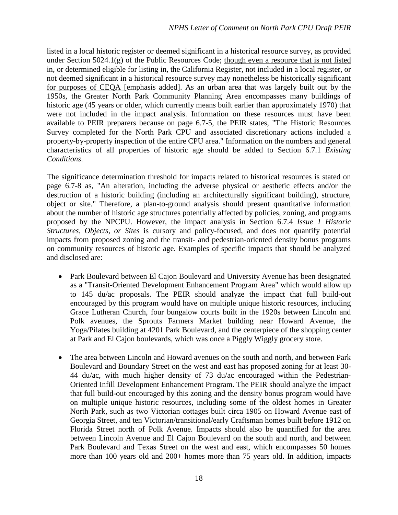listed in a local historic register or deemed significant in a historical resource survey, as provided under Section 5024.1(g) of the Public Resources Code; though even a resource that is not listed in, or determined eligible for listing in, the California Register, not included in a local register, or not deemed significant in a historical resource survey may nonetheless be historically significant for purposes of CEQA [emphasis added]. As an urban area that was largely built out by the 1950s, the Greater North Park Community Planning Area encompasses many buildings of historic age (45 years or older, which currently means built earlier than approximately 1970) that were not included in the impact analysis. Information on these resources must have been available to PEIR preparers because on page 6.7-5, the PEIR states, "The Historic Resources Survey completed for the North Park CPU and associated discretionary actions included a property-by-property inspection of the entire CPU area." Information on the numbers and general characteristics of all properties of historic age should be added to Section 6.7.1 *Existing Conditions*.

The significance determination threshold for impacts related to historical resources is stated on page 6.7-8 as, "An alteration, including the adverse physical or aesthetic effects and/or the destruction of a historic building (including an architecturally significant building), structure, object or site." Therefore, a plan-to-ground analysis should present quantitative information about the number of historic age structures potentially affected by policies, zoning, and programs proposed by the NPCPU. However, the impact analysis in Section 6.7.4 *Issue 1 Historic Structures, Objects, or Sites* is cursory and policy-focused, and does not quantify potential impacts from proposed zoning and the transit- and pedestrian-oriented density bonus programs on community resources of historic age. Examples of specific impacts that should be analyzed and disclosed are:

- Park Boulevard between El Cajon Boulevard and University Avenue has been designated as a "Transit-Oriented Development Enhancement Program Area" which would allow up to 145 du/ac proposals. The PEIR should analyze the impact that full build-out encouraged by this program would have on multiple unique historic resources, including Grace Lutheran Church, four bungalow courts built in the 1920s between Lincoln and Polk avenues, the Sprouts Farmers Market building near Howard Avenue, the Yoga/Pilates building at 4201 Park Boulevard, and the centerpiece of the shopping center at Park and El Cajon boulevards, which was once a Piggly Wiggly grocery store.
- The area between Lincoln and Howard avenues on the south and north, and between Park Boulevard and Boundary Street on the west and east has proposed zoning for at least 30- 44 du/ac, with much higher density of 73 du/ac encouraged within the Pedestrian-Oriented Infill Development Enhancement Program. The PEIR should analyze the impact that full build-out encouraged by this zoning and the density bonus program would have on multiple unique historic resources, including some of the oldest homes in Greater North Park, such as two Victorian cottages built circa 1905 on Howard Avenue east of Georgia Street, and ten Victorian/transitional/early Craftsman homes built before 1912 on Florida Street north of Polk Avenue. Impacts should also be quantified for the area between Lincoln Avenue and El Cajon Boulevard on the south and north, and between Park Boulevard and Texas Street on the west and east, which encompasses 50 homes more than 100 years old and 200+ homes more than 75 years old. In addition, impacts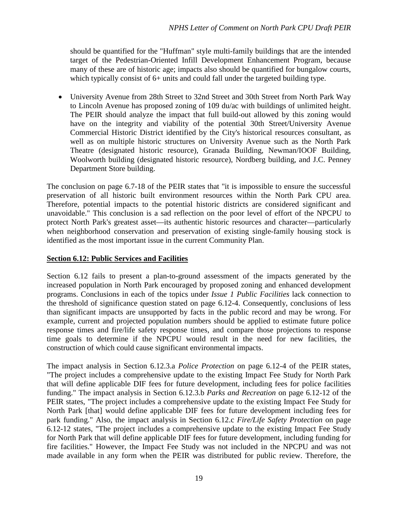should be quantified for the "Huffman" style multi-family buildings that are the intended target of the Pedestrian-Oriented Infill Development Enhancement Program, because many of these are of historic age; impacts also should be quantified for bungalow courts, which typically consist of 6+ units and could fall under the targeted building type.

• University Avenue from 28th Street to 32nd Street and 30th Street from North Park Way to Lincoln Avenue has proposed zoning of 109 du/ac with buildings of unlimited height. The PEIR should analyze the impact that full build-out allowed by this zoning would have on the integrity and viability of the potential 30th Street/University Avenue Commercial Historic District identified by the City's historical resources consultant, as well as on multiple historic structures on University Avenue such as the North Park Theatre (designated historic resource), Granada Building, Newman/IOOF Building, Woolworth building (designated historic resource), Nordberg building, and J.C. Penney Department Store building.

The conclusion on page 6.7-18 of the PEIR states that "it is impossible to ensure the successful preservation of all historic built environment resources within the North Park CPU area. Therefore, potential impacts to the potential historic districts are considered significant and unavoidable." This conclusion is a sad reflection on the poor level of effort of the NPCPU to protect North Park's greatest asset—its authentic historic resources and character—particularly when neighborhood conservation and preservation of existing single-family housing stock is identified as the most important issue in the current Community Plan.

### **Section 6.12: Public Services and Facilities**

Section 6.12 fails to present a plan-to-ground assessment of the impacts generated by the increased population in North Park encouraged by proposed zoning and enhanced development programs. Conclusions in each of the topics under *Issue 1 Public Facilities* lack connection to the threshold of significance question stated on page 6.12-4. Consequently, conclusions of less than significant impacts are unsupported by facts in the public record and may be wrong. For example, current and projected population numbers should be applied to estimate future police response times and fire/life safety response times, and compare those projections to response time goals to determine if the NPCPU would result in the need for new facilities, the construction of which could cause significant environmental impacts.

The impact analysis in Section 6.12.3.a *Police Protection* on page 6.12-4 of the PEIR states, "The project includes a comprehensive update to the existing Impact Fee Study for North Park that will define applicable DIF fees for future development, including fees for police facilities funding." The impact analysis in Section 6.12.3.b *Parks and Recreation* on page 6.12-12 of the PEIR states, "The project includes a comprehensive update to the existing Impact Fee Study for North Park [that] would define applicable DIF fees for future development including fees for park funding." Also, the impact analysis in Section 6.12.c *Fire/Life Safety Protection* on page 6.12-12 states, "The project includes a comprehensive update to the existing Impact Fee Study for North Park that will define applicable DIF fees for future development, including funding for fire facilities." However, the Impact Fee Study was not included in the NPCPU and was not made available in any form when the PEIR was distributed for public review. Therefore, the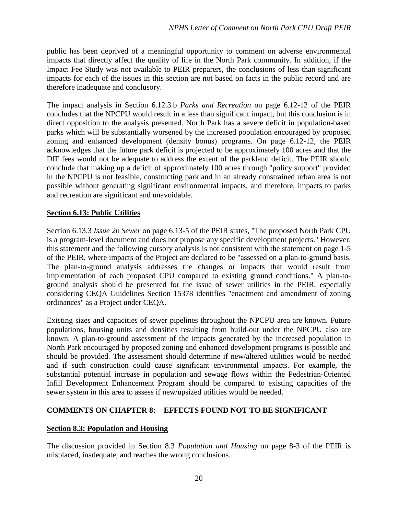public has been deprived of a meaningful opportunity to comment on adverse environmental impacts that directly affect the quality of life in the North Park community. In addition, if the Impact Fee Study was not available to PEIR preparers, the conclusions of less than significant impacts for each of the issues in this section are not based on facts in the public record and are therefore inadequate and conclusory.

The impact analysis in Section 6.12.3.b *Parks and Recreation* on page 6.12-12 of the PEIR concludes that the NPCPU would result in a less than significant impact, but this conclusion is in direct opposition to the analysis presented. North Park has a severe deficit in population-based parks which will be substantially worsened by the increased population encouraged by proposed zoning and enhanced development (density bonus) programs. On page 6.12-12, the PEIR acknowledges that the future park deficit is projected to be approximately 100 acres and that the DIF fees would not be adequate to address the extent of the parkland deficit. The PEIR should conclude that making up a deficit of approximately 100 acres through "policy support" provided in the NPCPU is not feasible, constructing parkland in an already constrained urban area is not possible without generating significant environmental impacts, and therefore, impacts to parks and recreation are significant and unavoidable.

## **Section 6.13: Public Utilities**

Section 6.13.3 *Issue 2b Sewer* on page 6.13-5 of the PEIR states, "The proposed North Park CPU is a program-level document and does not propose any specific development projects." However, this statement and the following cursory analysis is not consistent with the statement on page 1-5 of the PEIR, where impacts of the Project are declared to be "assessed on a plan-to-ground basis. The plan-to-ground analysis addresses the changes or impacts that would result from implementation of each proposed CPU compared to existing ground conditions." A plan-toground analysis should be presented for the issue of sewer utilities in the PEIR, especially considering CEQA Guidelines Section 15378 identifies "enactment and amendment of zoning ordinances" as a Project under CEQA.

Existing sizes and capacities of sewer pipelines throughout the NPCPU area are known. Future populations, housing units and densities resulting from build-out under the NPCPU also are known. A plan-to-ground assessment of the impacts generated by the increased population in North Park encouraged by proposed zoning and enhanced development programs is possible and should be provided. The assessment should determine if new/altered utilities would be needed and if such construction could cause significant environmental impacts. For example, the substantial potential increase in population and sewage flows within the Pedestrian-Oriented Infill Development Enhancement Program should be compared to existing capacities of the sewer system in this area to assess if new/upsized utilities would be needed.

## **COMMENTS ON CHAPTER 8: EFFECTS FOUND NOT TO BE SIGNIFICANT**

## **Section 8.3: Population and Housing**

The discussion provided in Section 8.3 *Population and Housing* on page 8-3 of the PEIR is misplaced, inadequate, and reaches the wrong conclusions.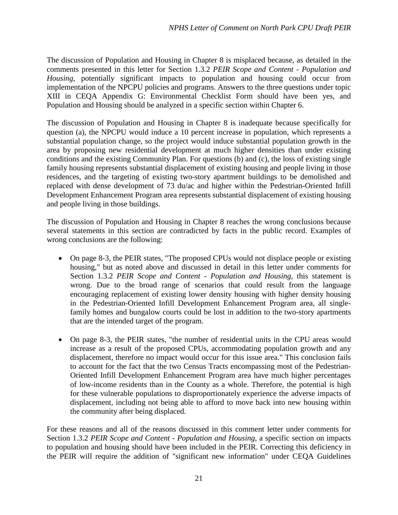The discussion of Population and Housing in Chapter 8 is misplaced because, as detailed in the comments presented in this letter for Section 1.3.2 *PEIR Scope and Content - Population and Housing*, potentially significant impacts to population and housing could occur from implementation of the NPCPU policies and programs. Answers to the three questions under topic XIII in CEQA Appendix G: Environmental Checklist Form should have been yes, and Population and Housing should be analyzed in a specific section within Chapter 6.

The discussion of Population and Housing in Chapter 8 is inadequate because specifically for question (a), the NPCPU would induce a 10 percent increase in population, which represents a substantial population change, so the project would induce substantial population growth in the area by proposing new residential development at much higher densities than under existing conditions and the existing Community Plan. For questions (b) and (c), the loss of existing single family housing represents substantial displacement of existing housing and people living in those residences, and the targeting of existing two-story apartment buildings to be demolished and replaced with dense development of 73 du/ac and higher within the Pedestrian-Oriented Infill Development Enhancement Program area represents substantial displacement of existing housing and people living in those buildings.

The discussion of Population and Housing in Chapter 8 reaches the wrong conclusions because several statements in this section are contradicted by facts in the public record. Examples of wrong conclusions are the following:

- On page 8-3, the PEIR states, "The proposed CPUs would not displace people or existing housing," but as noted above and discussed in detail in this letter under comments for Section 1.3.2 *PEIR Scope and Content - Population and Housing*, this statement is wrong. Due to the broad range of scenarios that could result from the language encouraging replacement of existing lower density housing with higher density housing in the Pedestrian-Oriented Infill Development Enhancement Program area, all singlefamily homes and bungalow courts could be lost in addition to the two-story apartments that are the intended target of the program.
- On page 8-3, the PEIR states, "the number of residential units in the CPU areas would increase as a result of the proposed CPUs, accommodating population growth and any displacement, therefore no impact would occur for this issue area." This conclusion fails to account for the fact that the two Census Tracts encompassing most of the Pedestrian-Oriented Infill Development Enhancement Program area have much higher percentages of low-income residents than in the County as a whole. Therefore, the potential is high for these vulnerable populations to disproportionately experience the adverse impacts of displacement, including not being able to afford to move back into new housing within the community after being displaced.

For these reasons and all of the reasons discussed in this comment letter under comments for Section 1.3.2 *PEIR Scope and Content - Population and Housing*, a specific section on impacts to population and housing should have been included in the PEIR. Correcting this deficiency in the PEIR will require the addition of "significant new information" under CEQA Guidelines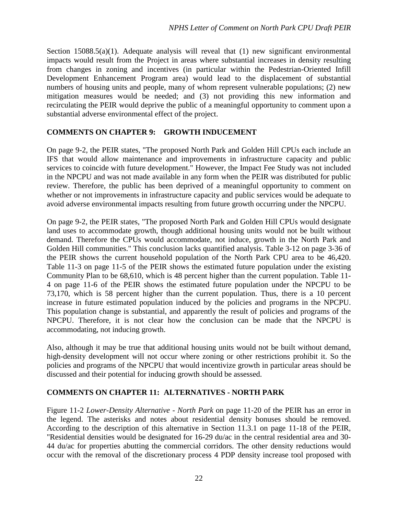Section 15088.5(a)(1). Adequate analysis will reveal that  $(1)$  new significant environmental impacts would result from the Project in areas where substantial increases in density resulting from changes in zoning and incentives (in particular within the Pedestrian-Oriented Infill Development Enhancement Program area) would lead to the displacement of substantial numbers of housing units and people, many of whom represent vulnerable populations; (2) new mitigation measures would be needed; and (3) not providing this new information and recirculating the PEIR would deprive the public of a meaningful opportunity to comment upon a substantial adverse environmental effect of the project.

## **COMMENTS ON CHAPTER 9: GROWTH INDUCEMENT**

On page 9-2, the PEIR states, "The proposed North Park and Golden Hill CPUs each include an IFS that would allow maintenance and improvements in infrastructure capacity and public services to coincide with future development." However, the Impact Fee Study was not included in the NPCPU and was not made available in any form when the PEIR was distributed for public review. Therefore, the public has been deprived of a meaningful opportunity to comment on whether or not improvements in infrastructure capacity and public services would be adequate to avoid adverse environmental impacts resulting from future growth occurring under the NPCPU.

On page 9-2, the PEIR states, "The proposed North Park and Golden Hill CPUs would designate land uses to accommodate growth, though additional housing units would not be built without demand. Therefore the CPUs would accommodate, not induce, growth in the North Park and Golden Hill communities." This conclusion lacks quantified analysis. Table 3-12 on page 3-36 of the PEIR shows the current household population of the North Park CPU area to be 46,420. Table 11-3 on page 11-5 of the PEIR shows the estimated future population under the existing Community Plan to be 68,610, which is 48 percent higher than the current population. Table 11- 4 on page 11-6 of the PEIR shows the estimated future population under the NPCPU to be 73,170, which is 58 percent higher than the current population. Thus, there is a 10 percent increase in future estimated population induced by the policies and programs in the NPCPU. This population change is substantial, and apparently the result of policies and programs of the NPCPU. Therefore, it is not clear how the conclusion can be made that the NPCPU is accommodating, not inducing growth.

Also, although it may be true that additional housing units would not be built without demand, high-density development will not occur where zoning or other restrictions prohibit it. So the policies and programs of the NPCPU that would incentivize growth in particular areas should be discussed and their potential for inducing growth should be assessed.

# **COMMENTS ON CHAPTER 11: ALTERNATIVES - NORTH PARK**

Figure 11-2 *Lower-Density Alternative - North Park* on page 11-20 of the PEIR has an error in the legend. The asterisks and notes about residential density bonuses should be removed. According to the description of this alternative in Section 11.3.1 on page 11-18 of the PEIR, "Residential densities would be designated for 16-29 du/ac in the central residential area and 30- 44 du/ac for properties abutting the commercial corridors. The other density reductions would occur with the removal of the discretionary process 4 PDP density increase tool proposed with